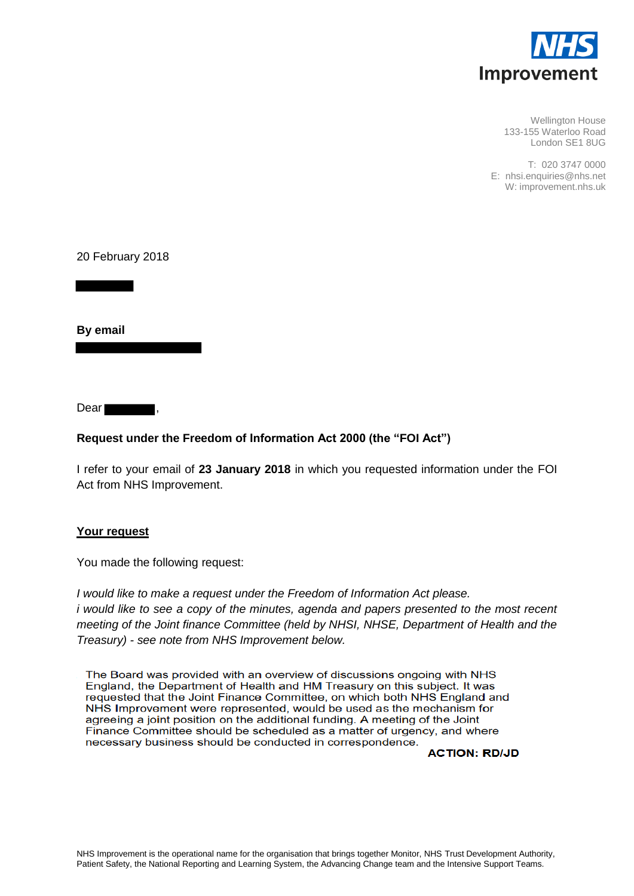

Wellington House 133-155 Waterloo Road London SE1 8UG

T: 020 3747 0000 E: nhsi.enquiries@nhs.net W: improvement.nhs.uk

20 February 2018

**By email** 

Dear ,

### **Request under the Freedom of Information Act 2000 (the "FOI Act")**

I refer to your email of **23 January 2018** in which you requested information under the FOI Act from NHS Improvement.

### **Your request**

You made the following request:

*I would like to make a request under the Freedom of Information Act please. i* would like to see a copy of the minutes, agenda and papers presented to the most recent *meeting of the Joint finance Committee (held by NHSI, NHSE, Department of Health and the Treasury) - see note from NHS Improvement below.* 

The Board was provided with an overview of discussions ongoing with NHS England, the Department of Health and HM Treasury on this subject. It was requested that the Joint Finance Committee, on which both NHS England and NHS Improvement were represented, would be used as the mechanism for agreeing a joint position on the additional funding. A meeting of the Joint Finance Committee should be scheduled as a matter of urgency, and where necessary business should be conducted in correspondence.

**ACTION: RD/JD**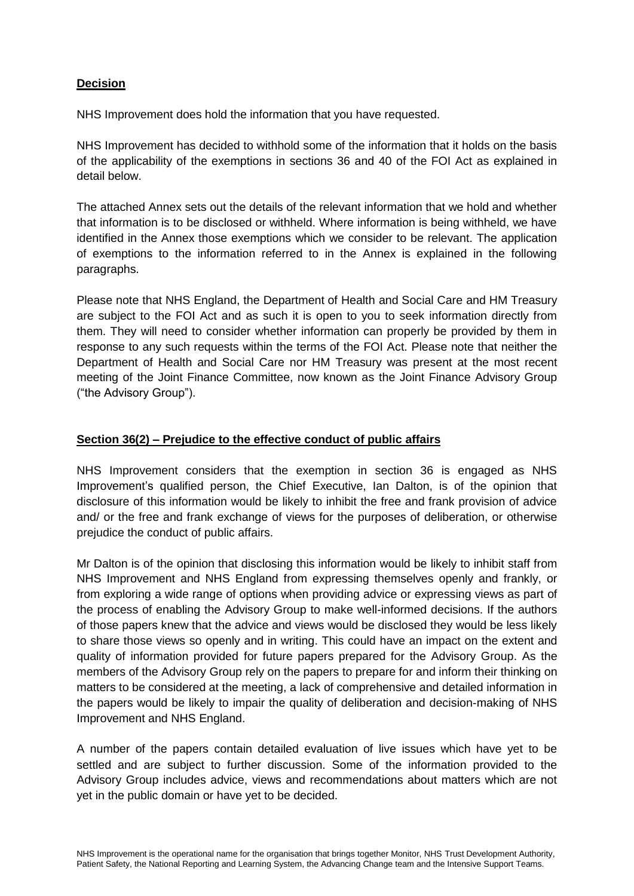# **Decision**

NHS Improvement does hold the information that you have requested.

NHS Improvement has decided to withhold some of the information that it holds on the basis of the applicability of the exemptions in sections 36 and 40 of the FOI Act as explained in detail below.

The attached Annex sets out the details of the relevant information that we hold and whether that information is to be disclosed or withheld. Where information is being withheld, we have identified in the Annex those exemptions which we consider to be relevant. The application of exemptions to the information referred to in the Annex is explained in the following paragraphs.

Please note that NHS England, the Department of Health and Social Care and HM Treasury are subject to the FOI Act and as such it is open to you to seek information directly from them. They will need to consider whether information can properly be provided by them in response to any such requests within the terms of the FOI Act. Please note that neither the Department of Health and Social Care nor HM Treasury was present at the most recent meeting of the Joint Finance Committee, now known as the Joint Finance Advisory Group ("the Advisory Group").

#### **Section 36(2) – Prejudice to the effective conduct of public affairs**

NHS Improvement considers that the exemption in section 36 is engaged as NHS Improvement's qualified person, the Chief Executive, Ian Dalton, is of the opinion that disclosure of this information would be likely to inhibit the free and frank provision of advice and/ or the free and frank exchange of views for the purposes of deliberation, or otherwise prejudice the conduct of public affairs.

Mr Dalton is of the opinion that disclosing this information would be likely to inhibit staff from NHS Improvement and NHS England from expressing themselves openly and frankly, or from exploring a wide range of options when providing advice or expressing views as part of the process of enabling the Advisory Group to make well-informed decisions. If the authors of those papers knew that the advice and views would be disclosed they would be less likely to share those views so openly and in writing. This could have an impact on the extent and quality of information provided for future papers prepared for the Advisory Group. As the members of the Advisory Group rely on the papers to prepare for and inform their thinking on matters to be considered at the meeting, a lack of comprehensive and detailed information in the papers would be likely to impair the quality of deliberation and decision-making of NHS Improvement and NHS England.

A number of the papers contain detailed evaluation of live issues which have yet to be settled and are subject to further discussion. Some of the information provided to the Advisory Group includes advice, views and recommendations about matters which are not yet in the public domain or have yet to be decided.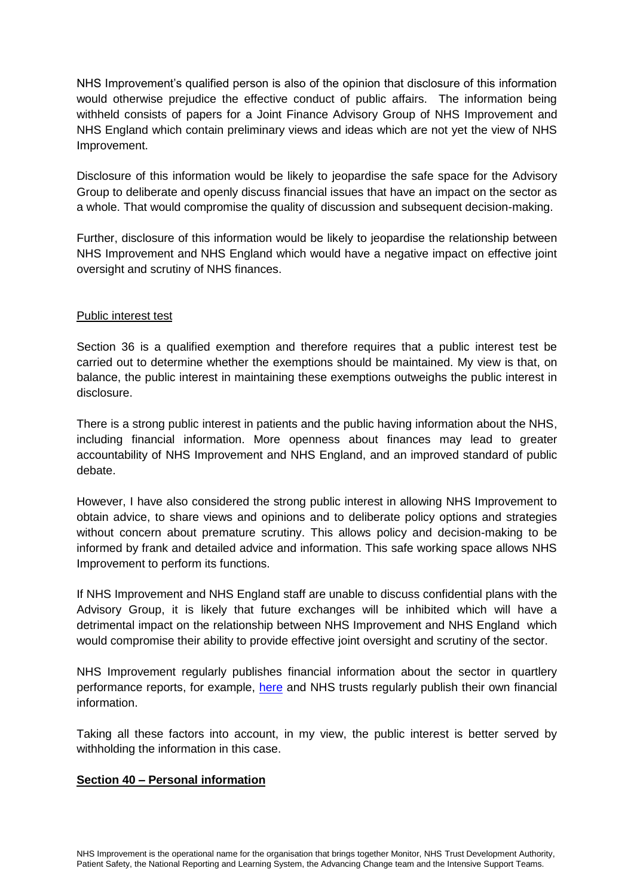NHS Improvement's qualified person is also of the opinion that disclosure of this information would otherwise prejudice the effective conduct of public affairs. The information being withheld consists of papers for a Joint Finance Advisory Group of NHS Improvement and NHS England which contain preliminary views and ideas which are not yet the view of NHS Improvement.

Disclosure of this information would be likely to jeopardise the safe space for the Advisory Group to deliberate and openly discuss financial issues that have an impact on the sector as a whole. That would compromise the quality of discussion and subsequent decision-making.

Further, disclosure of this information would be likely to jeopardise the relationship between NHS Improvement and NHS England which would have a negative impact on effective joint oversight and scrutiny of NHS finances.

### Public interest test

Section 36 is a qualified exemption and therefore requires that a public interest test be carried out to determine whether the exemptions should be maintained. My view is that, on balance, the public interest in maintaining these exemptions outweighs the public interest in disclosure.

There is a strong public interest in patients and the public having information about the NHS, including financial information. More openness about finances may lead to greater accountability of NHS Improvement and NHS England, and an improved standard of public debate.

However, I have also considered the strong public interest in allowing NHS Improvement to obtain advice, to share views and opinions and to deliberate policy options and strategies without concern about premature scrutiny. This allows policy and decision-making to be informed by frank and detailed advice and information. This safe working space allows NHS Improvement to perform its functions.

If NHS Improvement and NHS England staff are unable to discuss confidential plans with the Advisory Group, it is likely that future exchanges will be inhibited which will have a detrimental impact on the relationship between NHS Improvement and NHS England which would compromise their ability to provide effective joint oversight and scrutiny of the sector.

NHS Improvement regularly publishes financial information about the sector in quartlery performance reports, for example, [here](https://improvement.nhs.uk/resources/?keywords=Quarterly+performance+of+the+NHS+provider+sector&theme=&topic=&resourcetype=&publishingbody=&after=&before=&ordering=) and NHS trusts regularly publish their own financial information.

Taking all these factors into account, in my view, the public interest is better served by withholding the information in this case.

# **Section 40 – Personal information**